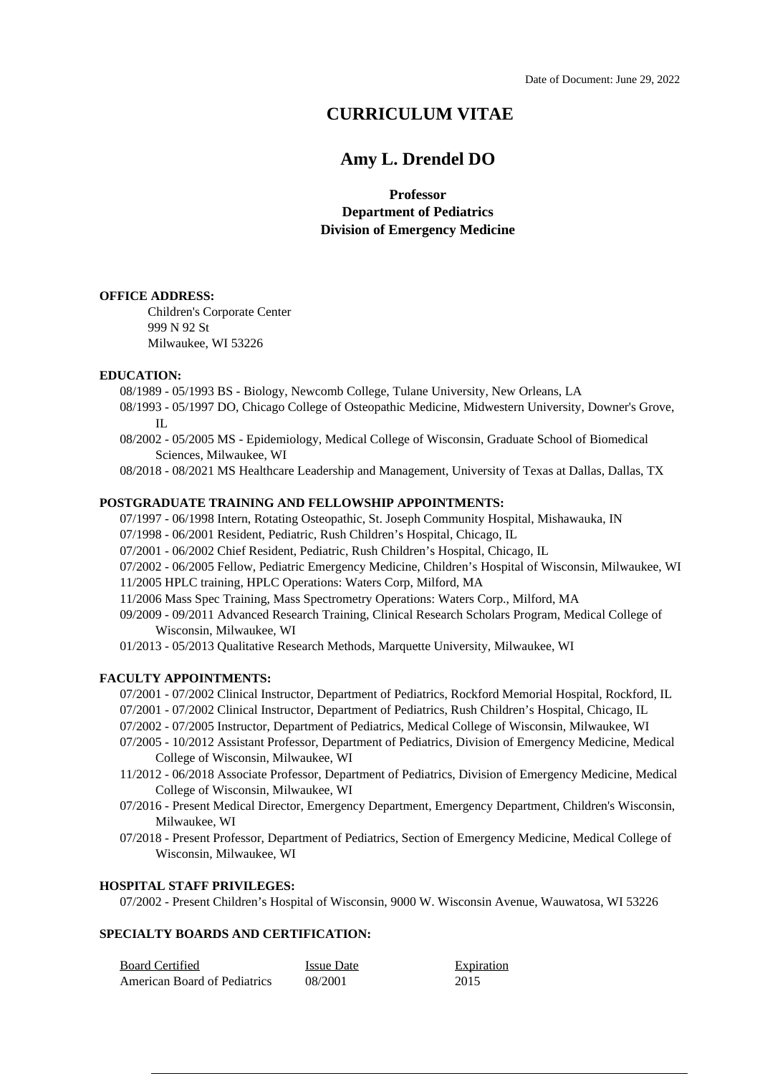# **CURRICULUM VITAE**

# **Amy L. Drendel DO**

**Professor Department of Pediatrics Division of Emergency Medicine**

### **OFFICE ADDRESS:**

Children's Corporate Center 999 N 92 St Milwaukee, WI 53226

#### **EDUCATION:**

08/1989 - 05/1993 BS - Biology, Newcomb College, Tulane University, New Orleans, LA

- 08/1993 05/1997 DO, Chicago College of Osteopathic Medicine, Midwestern University, Downer's Grove,  $\Pi$ .
- 08/2002 05/2005 MS Epidemiology, Medical College of Wisconsin, Graduate School of Biomedical Sciences, Milwaukee, WI

08/2018 - 08/2021 MS Healthcare Leadership and Management, University of Texas at Dallas, Dallas, TX

### **POSTGRADUATE TRAINING AND FELLOWSHIP APPOINTMENTS:**

07/1997 - 06/1998 Intern, Rotating Osteopathic, St. Joseph Community Hospital, Mishawauka, IN

- 07/1998 06/2001 Resident, Pediatric, Rush Children's Hospital, Chicago, IL
- 07/2001 06/2002 Chief Resident, Pediatric, Rush Children's Hospital, Chicago, IL
- 07/2002 06/2005 Fellow, Pediatric Emergency Medicine, Children's Hospital of Wisconsin, Milwaukee, WI 11/2005 HPLC training, HPLC Operations: Waters Corp, Milford, MA
- 11/2006 Mass Spec Training, Mass Spectrometry Operations: Waters Corp., Milford, MA
- 09/2009 09/2011 Advanced Research Training, Clinical Research Scholars Program, Medical College of Wisconsin, Milwaukee, WI

01/2013 - 05/2013 Qualitative Research Methods, Marquette University, Milwaukee, WI

### **FACULTY APPOINTMENTS:**

- 07/2001 07/2002 Clinical Instructor, Department of Pediatrics, Rockford Memorial Hospital, Rockford, IL
- 07/2001 07/2002 Clinical Instructor, Department of Pediatrics, Rush Children's Hospital, Chicago, IL
- 07/2002 07/2005 Instructor, Department of Pediatrics, Medical College of Wisconsin, Milwaukee, WI
- 07/2005 10/2012 Assistant Professor, Department of Pediatrics, Division of Emergency Medicine, Medical College of Wisconsin, Milwaukee, WI
- 11/2012 06/2018 Associate Professor, Department of Pediatrics, Division of Emergency Medicine, Medical College of Wisconsin, Milwaukee, WI
- 07/2016 Present Medical Director, Emergency Department, Emergency Department, Children's Wisconsin, Milwaukee, WI
- 07/2018 Present Professor, Department of Pediatrics, Section of Emergency Medicine, Medical College of Wisconsin, Milwaukee, WI

### **HOSPITAL STAFF PRIVILEGES:**

07/2002 - Present Children's Hospital of Wisconsin, 9000 W. Wisconsin Avenue, Wauwatosa, WI 53226

### **SPECIALTY BOARDS AND CERTIFICATION:**

| <b>Board Certified</b>              | <b>Issue Date</b> | Expiration |
|-------------------------------------|-------------------|------------|
| <b>American Board of Pediatrics</b> | 08/2001           | 2015       |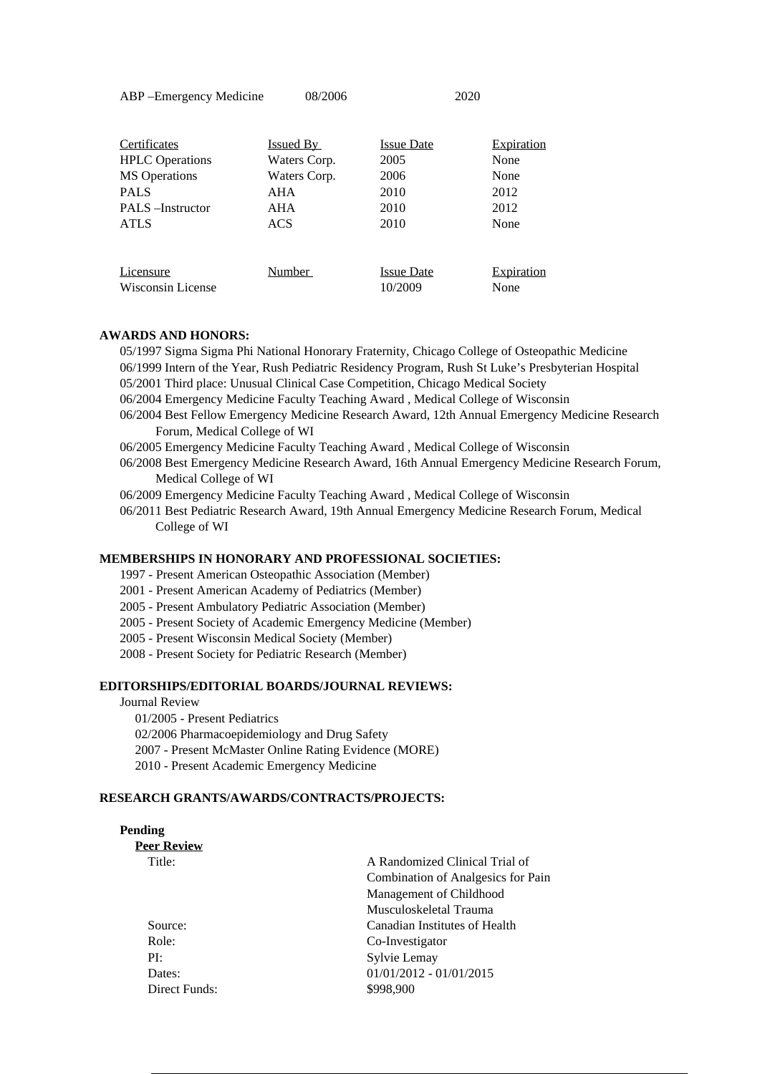ABP –Emergency Medicine 08/2006 2020

| Certificates                   | <u>Issued By</u> | <b>Issue Date</b>            | <b>Expiration</b>  |
|--------------------------------|------------------|------------------------------|--------------------|
| <b>HPLC</b> Operations         | Waters Corp.     | 2005                         | None               |
| <b>MS</b> Operations           | Waters Corp.     | 2006                         | None               |
| <b>PALS</b>                    | AHA              | 2010                         | 2012               |
| <b>PALS</b> -Instructor        | AHA              | 2010                         | 2012               |
| <b>ATLS</b>                    | ACS              | 2010                         | None               |
|                                |                  |                              |                    |
| Licensure<br>Wisconsin License | Number           | <b>Issue Date</b><br>10/2009 | Expiration<br>None |

### **AWARDS AND HONORS:**

05/1997 Sigma Sigma Phi National Honorary Fraternity, Chicago College of Osteopathic Medicine 06/1999 Intern of the Year, Rush Pediatric Residency Program, Rush St Luke's Presbyterian Hospital 05/2001 Third place: Unusual Clinical Case Competition, Chicago Medical Society

- 06/2004 Emergency Medicine Faculty Teaching Award , Medical College of Wisconsin
- 06/2004 Best Fellow Emergency Medicine Research Award, 12th Annual Emergency Medicine Research Forum, Medical College of WI
- 06/2005 Emergency Medicine Faculty Teaching Award , Medical College of Wisconsin
- 06/2008 Best Emergency Medicine Research Award, 16th Annual Emergency Medicine Research Forum, Medical College of WI

06/2009 Emergency Medicine Faculty Teaching Award , Medical College of Wisconsin

06/2011 Best Pediatric Research Award, 19th Annual Emergency Medicine Research Forum, Medical College of WI

### **MEMBERSHIPS IN HONORARY AND PROFESSIONAL SOCIETIES:**

1997 - Present American Osteopathic Association (Member)

- 2001 Present American Academy of Pediatrics (Member)
- 2005 Present Ambulatory Pediatric Association (Member)
- 2005 Present Society of Academic Emergency Medicine (Member)
- 2005 Present Wisconsin Medical Society (Member)
- 2008 Present Society for Pediatric Research (Member)

### **EDITORSHIPS/EDITORIAL BOARDS/JOURNAL REVIEWS:**

Journal Review 01/2005 - Present Pediatrics

02/2006 Pharmacoepidemiology and Drug Safety 2007 - Present McMaster Online Rating Evidence (MORE) 2010 - Present Academic Emergency Medicine

### **RESEARCH GRANTS/AWARDS/CONTRACTS/PROJECTS:**

#### **Pending Peer Review**

| Peer Review   |                                    |
|---------------|------------------------------------|
| Title:        | A Randomized Clinical Trial of     |
|               | Combination of Analgesics for Pain |
|               | Management of Childhood            |
|               | Musculoskeletal Trauma             |
| Source:       | Canadian Institutes of Health      |
| Role:         | Co-Investigator                    |
| PI:           | Sylvie Lemay                       |
| Dates:        | $01/01/2012 - 01/01/2015$          |
| Direct Funds: | \$998.900                          |
|               |                                    |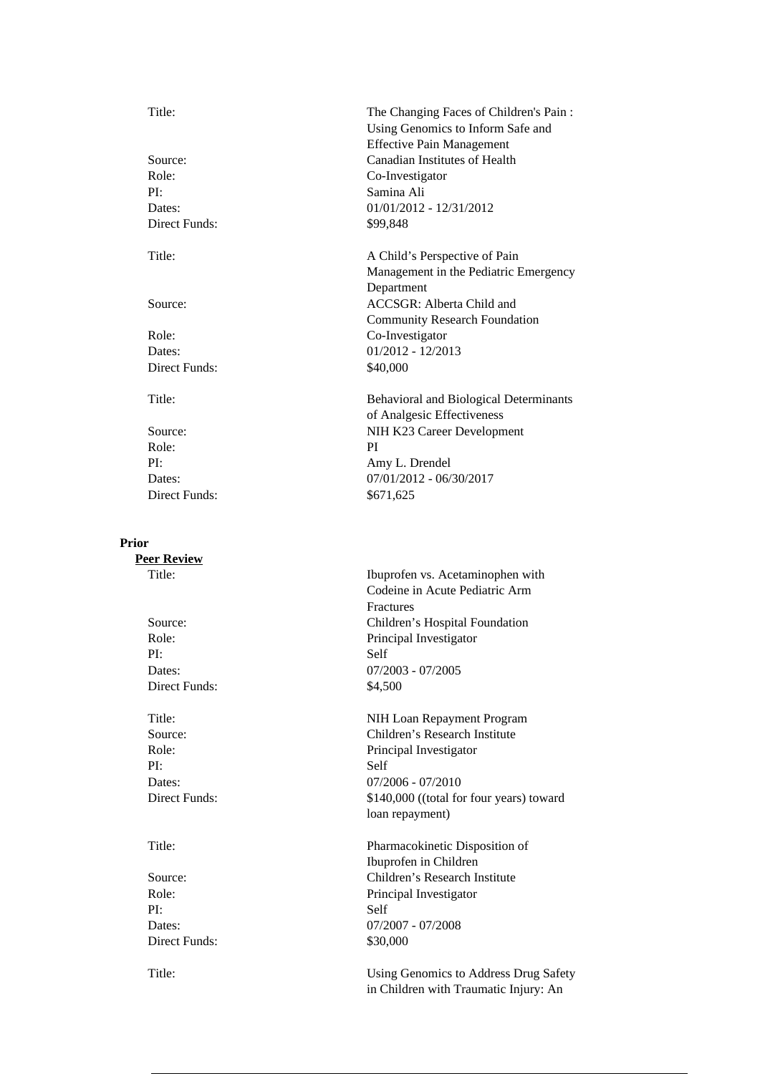Role: Co-Investigator PI: Samina Ali Dates: 01/01/2012 - 12/31/2012 Direct Funds: \$99,848 Role: Co-Investigator Dates: 01/2012 - 12/2013 Direct Funds: \$40,000 Role: PI PI: Amy L. Drendel

**Prior**

**Peer Review** PI: Self Direct Funds:  $$4,500$ PI: Self

PI: Self Direct Funds: \$30,000

Title: The Changing Faces of Children's Pain : Using Genomics to Inform Safe and Effective Pain Management Source: Canadian Institutes of Health

Title: A Child's Perspective of Pain Management in the Pediatric Emergency Department Source: ACCSGR: Alberta Child and Community Research Foundation

Title: Behavioral and Biological Determinants of Analgesic Effectiveness Source: NIH K23 Career Development Dates: 07/01/2012 - 06/30/2017 Direct Funds:  $$671,625$ 

Title: Ibuprofen vs. Acetaminophen with Codeine in Acute Pediatric Arm Fractures Source: Children's Hospital Foundation Role: Principal Investigator Dates: 07/2003 - 07/2005

Title: NIH Loan Repayment Program Source: Children's Research Institute Role: Principal Investigator Dates: 07/2006 - 07/2010 Direct Funds:  $$140,000$  ((total for four years) toward loan repayment)

Title: Pharmacokinetic Disposition of Ibuprofen in Children Source: Children's Research Institute Role: Principal Investigator Dates: 07/2007 - 07/2008

Title: Using Genomics to Address Drug Safety in Children with Traumatic Injury: An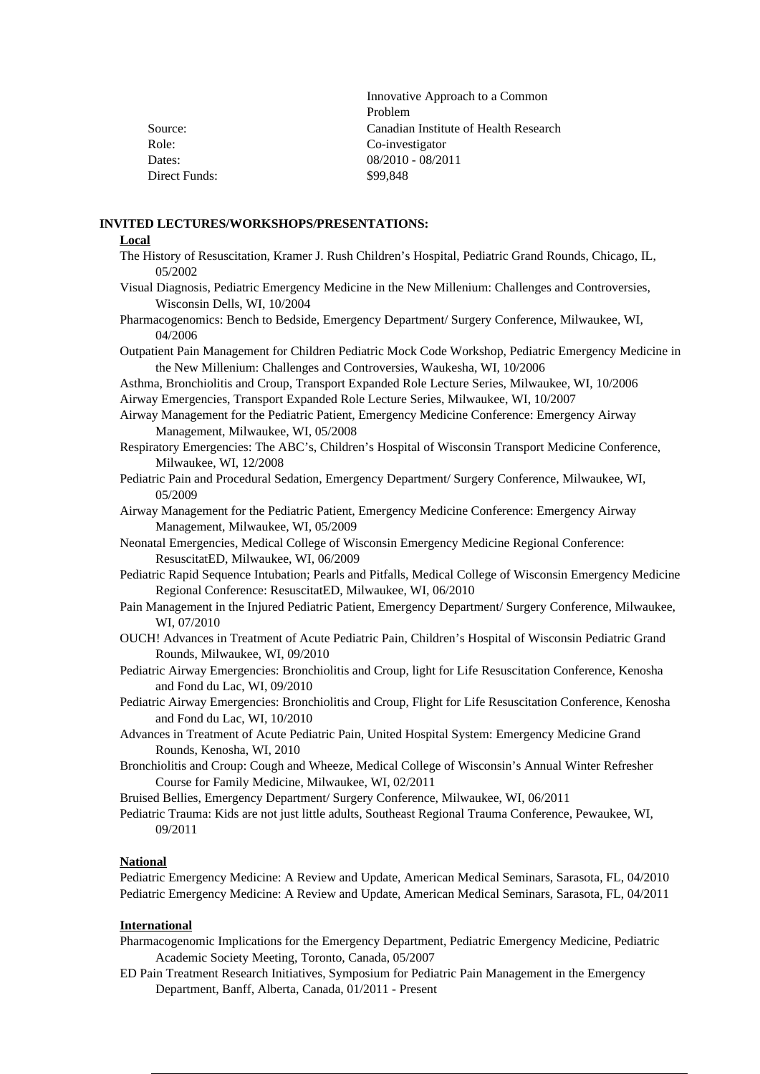|               | Innovative Approach to a Common       |
|---------------|---------------------------------------|
|               | Problem                               |
| Source:       | Canadian Institute of Health Research |
| Role:         | Co-investigator                       |
| Dates:        | $08/2010 - 08/2011$                   |
| Direct Funds: | \$99.848                              |

### **INVITED LECTURES/WORKSHOPS/PRESENTATIONS:**

#### **Local**

- The History of Resuscitation, Kramer J. Rush Children's Hospital, Pediatric Grand Rounds, Chicago, IL, 05/2002
- Visual Diagnosis, Pediatric Emergency Medicine in the New Millenium: Challenges and Controversies, Wisconsin Dells, WI, 10/2004
- Pharmacogenomics: Bench to Bedside, Emergency Department/ Surgery Conference, Milwaukee, WI, 04/2006
- Outpatient Pain Management for Children Pediatric Mock Code Workshop, Pediatric Emergency Medicine in the New Millenium: Challenges and Controversies, Waukesha, WI, 10/2006

Asthma, Bronchiolitis and Croup, Transport Expanded Role Lecture Series, Milwaukee, WI, 10/2006 Airway Emergencies, Transport Expanded Role Lecture Series, Milwaukee, WI, 10/2007

- Airway Management for the Pediatric Patient, Emergency Medicine Conference: Emergency Airway Management, Milwaukee, WI, 05/2008
- Respiratory Emergencies: The ABC's, Children's Hospital of Wisconsin Transport Medicine Conference, Milwaukee, WI, 12/2008
- Pediatric Pain and Procedural Sedation, Emergency Department/ Surgery Conference, Milwaukee, WI, 05/2009
- Airway Management for the Pediatric Patient, Emergency Medicine Conference: Emergency Airway Management, Milwaukee, WI, 05/2009
- Neonatal Emergencies, Medical College of Wisconsin Emergency Medicine Regional Conference: ResuscitatED, Milwaukee, WI, 06/2009
- Pediatric Rapid Sequence Intubation; Pearls and Pitfalls, Medical College of Wisconsin Emergency Medicine Regional Conference: ResuscitatED, Milwaukee, WI, 06/2010
- Pain Management in the Injured Pediatric Patient, Emergency Department/ Surgery Conference, Milwaukee, WI, 07/2010
- OUCH! Advances in Treatment of Acute Pediatric Pain, Children's Hospital of Wisconsin Pediatric Grand Rounds, Milwaukee, WI, 09/2010
- Pediatric Airway Emergencies: Bronchiolitis and Croup, light for Life Resuscitation Conference, Kenosha and Fond du Lac, WI, 09/2010
- Pediatric Airway Emergencies: Bronchiolitis and Croup, Flight for Life Resuscitation Conference, Kenosha and Fond du Lac, WI, 10/2010
- Advances in Treatment of Acute Pediatric Pain, United Hospital System: Emergency Medicine Grand Rounds, Kenosha, WI, 2010
- Bronchiolitis and Croup: Cough and Wheeze, Medical College of Wisconsin's Annual Winter Refresher Course for Family Medicine, Milwaukee, WI, 02/2011

Bruised Bellies, Emergency Department/ Surgery Conference, Milwaukee, WI, 06/2011

Pediatric Trauma: Kids are not just little adults, Southeast Regional Trauma Conference, Pewaukee, WI, 09/2011

#### **National**

Pediatric Emergency Medicine: A Review and Update, American Medical Seminars, Sarasota, FL, 04/2010 Pediatric Emergency Medicine: A Review and Update, American Medical Seminars, Sarasota, FL, 04/2011

### **International**

- Pharmacogenomic Implications for the Emergency Department, Pediatric Emergency Medicine, Pediatric Academic Society Meeting, Toronto, Canada, 05/2007
- ED Pain Treatment Research Initiatives, Symposium for Pediatric Pain Management in the Emergency Department, Banff, Alberta, Canada, 01/2011 - Present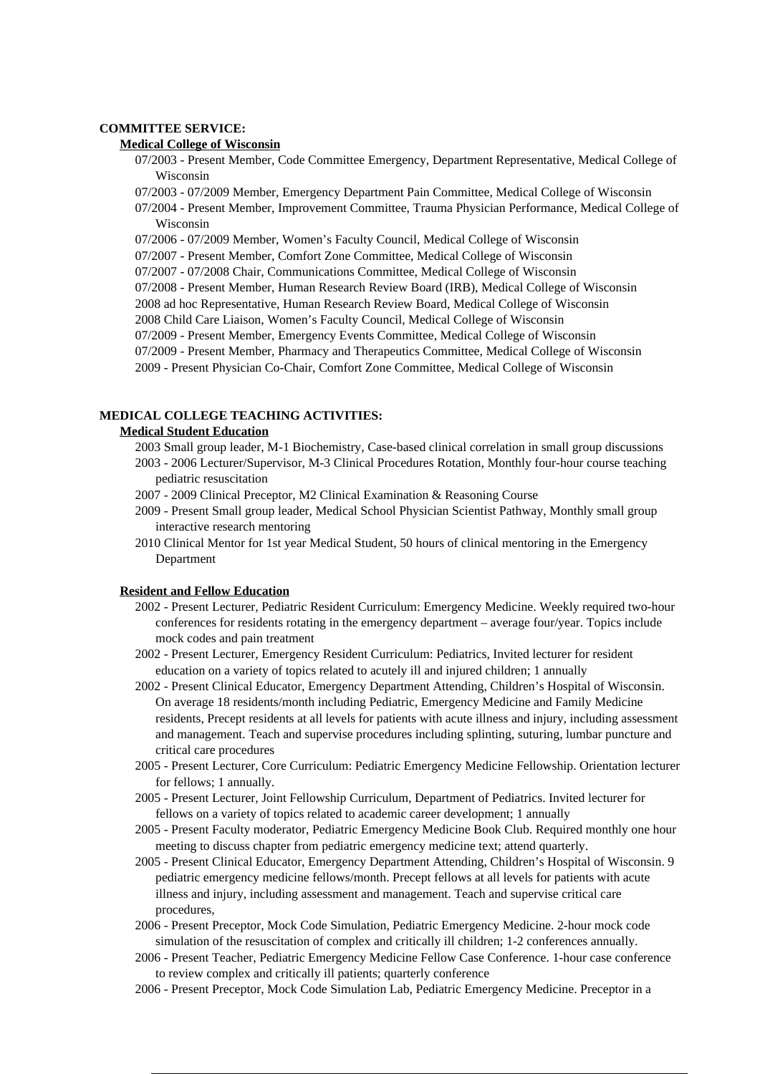### **COMMITTEE SERVICE:**

### **Medical College of Wisconsin**

- 07/2003 Present Member, Code Committee Emergency, Department Representative, Medical College of Wisconsin
- 07/2003 07/2009 Member, Emergency Department Pain Committee, Medical College of Wisconsin
- 07/2004 Present Member, Improvement Committee, Trauma Physician Performance, Medical College of Wisconsin
- 07/2006 07/2009 Member, Women's Faculty Council, Medical College of Wisconsin
- 07/2007 Present Member, Comfort Zone Committee, Medical College of Wisconsin
- 07/2007 07/2008 Chair, Communications Committee, Medical College of Wisconsin
- 07/2008 Present Member, Human Research Review Board (IRB), Medical College of Wisconsin

2008 ad hoc Representative, Human Research Review Board, Medical College of Wisconsin

- 2008 Child Care Liaison, Women's Faculty Council, Medical College of Wisconsin
- 07/2009 Present Member, Emergency Events Committee, Medical College of Wisconsin
- 07/2009 Present Member, Pharmacy and Therapeutics Committee, Medical College of Wisconsin
- 2009 Present Physician Co-Chair, Comfort Zone Committee, Medical College of Wisconsin

### **MEDICAL COLLEGE TEACHING ACTIVITIES:**

#### **Medical Student Education**

- 2003 Small group leader, M-1 Biochemistry, Case-based clinical correlation in small group discussions 2003 - 2006 Lecturer/Supervisor, M-3 Clinical Procedures Rotation, Monthly four-hour course teaching pediatric resuscitation
- 2007 2009 Clinical Preceptor, M2 Clinical Examination & Reasoning Course
- 2009 Present Small group leader, Medical School Physician Scientist Pathway, Monthly small group interactive research mentoring
- 2010 Clinical Mentor for 1st year Medical Student, 50 hours of clinical mentoring in the Emergency Department

#### **Resident and Fellow Education**

- 2002 Present Lecturer, Pediatric Resident Curriculum: Emergency Medicine. Weekly required two-hour conferences for residents rotating in the emergency department – average four/year. Topics include mock codes and pain treatment
- 2002 Present Lecturer, Emergency Resident Curriculum: Pediatrics, Invited lecturer for resident education on a variety of topics related to acutely ill and injured children; 1 annually
- 2002 Present Clinical Educator, Emergency Department Attending, Children's Hospital of Wisconsin. On average 18 residents/month including Pediatric, Emergency Medicine and Family Medicine residents, Precept residents at all levels for patients with acute illness and injury, including assessment and management. Teach and supervise procedures including splinting, suturing, lumbar puncture and critical care procedures
- 2005 Present Lecturer, Core Curriculum: Pediatric Emergency Medicine Fellowship. Orientation lecturer for fellows; 1 annually.
- 2005 Present Lecturer, Joint Fellowship Curriculum, Department of Pediatrics. Invited lecturer for fellows on a variety of topics related to academic career development; 1 annually
- 2005 Present Faculty moderator, Pediatric Emergency Medicine Book Club. Required monthly one hour meeting to discuss chapter from pediatric emergency medicine text; attend quarterly.
- 2005 Present Clinical Educator, Emergency Department Attending, Children's Hospital of Wisconsin. 9 pediatric emergency medicine fellows/month. Precept fellows at all levels for patients with acute illness and injury, including assessment and management. Teach and supervise critical care procedures,
- 2006 Present Preceptor, Mock Code Simulation, Pediatric Emergency Medicine. 2-hour mock code simulation of the resuscitation of complex and critically ill children; 1-2 conferences annually.
- 2006 Present Teacher, Pediatric Emergency Medicine Fellow Case Conference. 1-hour case conference to review complex and critically ill patients; quarterly conference
- 2006 Present Preceptor, Mock Code Simulation Lab, Pediatric Emergency Medicine. Preceptor in a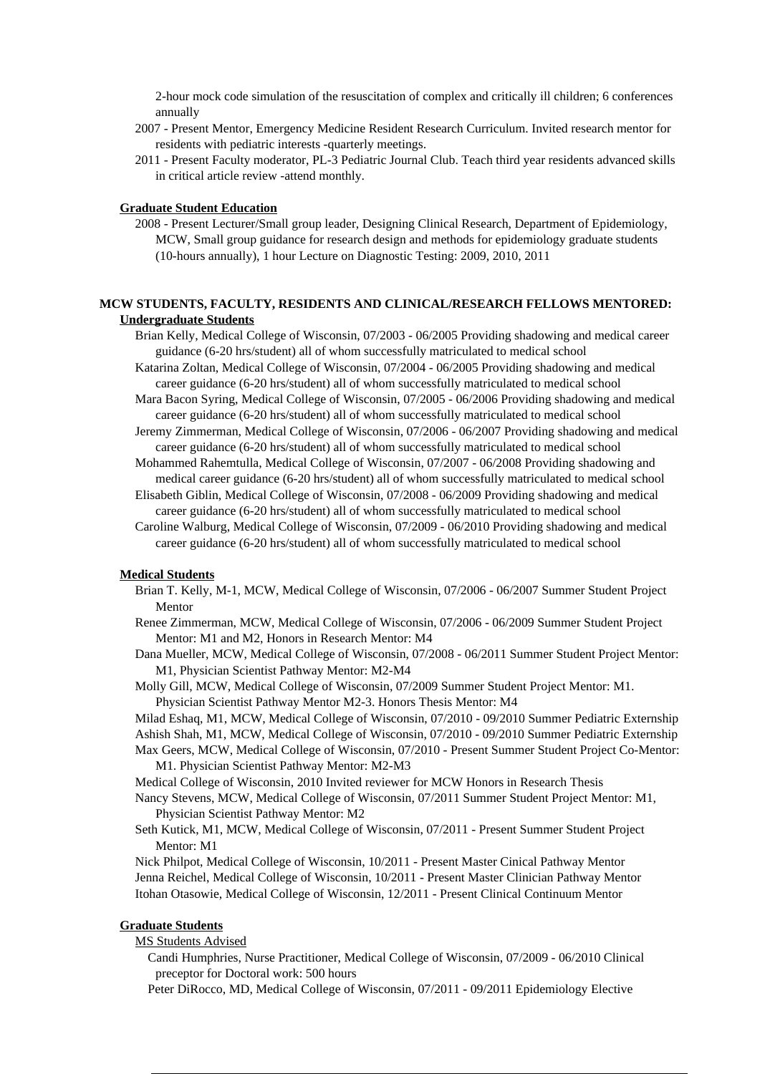2-hour mock code simulation of the resuscitation of complex and critically ill children; 6 conferences annually

- 2007 Present Mentor, Emergency Medicine Resident Research Curriculum. Invited research mentor for residents with pediatric interests -quarterly meetings.
- 2011 Present Faculty moderator, PL-3 Pediatric Journal Club. Teach third year residents advanced skills in critical article review -attend monthly.

### **Graduate Student Education**

2008 - Present Lecturer/Small group leader, Designing Clinical Research, Department of Epidemiology, MCW, Small group guidance for research design and methods for epidemiology graduate students (10-hours annually), 1 hour Lecture on Diagnostic Testing: 2009, 2010, 2011

### **MCW STUDENTS, FACULTY, RESIDENTS AND CLINICAL/RESEARCH FELLOWS MENTORED: Undergraduate Students**

Brian Kelly, Medical College of Wisconsin, 07/2003 - 06/2005 Providing shadowing and medical career guidance (6-20 hrs/student) all of whom successfully matriculated to medical school

Katarina Zoltan, Medical College of Wisconsin, 07/2004 - 06/2005 Providing shadowing and medical career guidance (6-20 hrs/student) all of whom successfully matriculated to medical school

Mara Bacon Syring, Medical College of Wisconsin, 07/2005 - 06/2006 Providing shadowing and medical career guidance (6-20 hrs/student) all of whom successfully matriculated to medical school

Jeremy Zimmerman, Medical College of Wisconsin, 07/2006 - 06/2007 Providing shadowing and medical career guidance (6-20 hrs/student) all of whom successfully matriculated to medical school

Mohammed Rahemtulla, Medical College of Wisconsin, 07/2007 - 06/2008 Providing shadowing and medical career guidance (6-20 hrs/student) all of whom successfully matriculated to medical school

Elisabeth Giblin, Medical College of Wisconsin, 07/2008 - 06/2009 Providing shadowing and medical career guidance (6-20 hrs/student) all of whom successfully matriculated to medical school

Caroline Walburg, Medical College of Wisconsin, 07/2009 - 06/2010 Providing shadowing and medical career guidance (6-20 hrs/student) all of whom successfully matriculated to medical school

#### **Medical Students**

- Brian T. Kelly, M-1, MCW, Medical College of Wisconsin, 07/2006 06/2007 Summer Student Project Mentor
- Renee Zimmerman, MCW, Medical College of Wisconsin, 07/2006 06/2009 Summer Student Project Mentor: M1 and M2, Honors in Research Mentor: M4

Dana Mueller, MCW, Medical College of Wisconsin, 07/2008 - 06/2011 Summer Student Project Mentor: M1, Physician Scientist Pathway Mentor: M2-M4

Molly Gill, MCW, Medical College of Wisconsin, 07/2009 Summer Student Project Mentor: M1. Physician Scientist Pathway Mentor M2-3. Honors Thesis Mentor: M4

Milad Eshaq, M1, MCW, Medical College of Wisconsin, 07/2010 - 09/2010 Summer Pediatric Externship

- Ashish Shah, M1, MCW, Medical College of Wisconsin, 07/2010 09/2010 Summer Pediatric Externship
- Max Geers, MCW, Medical College of Wisconsin, 07/2010 Present Summer Student Project Co-Mentor: M1. Physician Scientist Pathway Mentor: M2-M3
- Medical College of Wisconsin, 2010 Invited reviewer for MCW Honors in Research Thesis

Nancy Stevens, MCW, Medical College of Wisconsin, 07/2011 Summer Student Project Mentor: M1, Physician Scientist Pathway Mentor: M2

Seth Kutick, M1, MCW, Medical College of Wisconsin, 07/2011 - Present Summer Student Project Mentor: M1

Nick Philpot, Medical College of Wisconsin, 10/2011 - Present Master Cinical Pathway Mentor Jenna Reichel, Medical College of Wisconsin, 10/2011 - Present Master Clinician Pathway Mentor Itohan Otasowie, Medical College of Wisconsin, 12/2011 - Present Clinical Continuum Mentor

### **Graduate Students**

#### MS Students Advised

- Candi Humphries, Nurse Practitioner, Medical College of Wisconsin, 07/2009 06/2010 Clinical preceptor for Doctoral work: 500 hours
- Peter DiRocco, MD, Medical College of Wisconsin, 07/2011 09/2011 Epidemiology Elective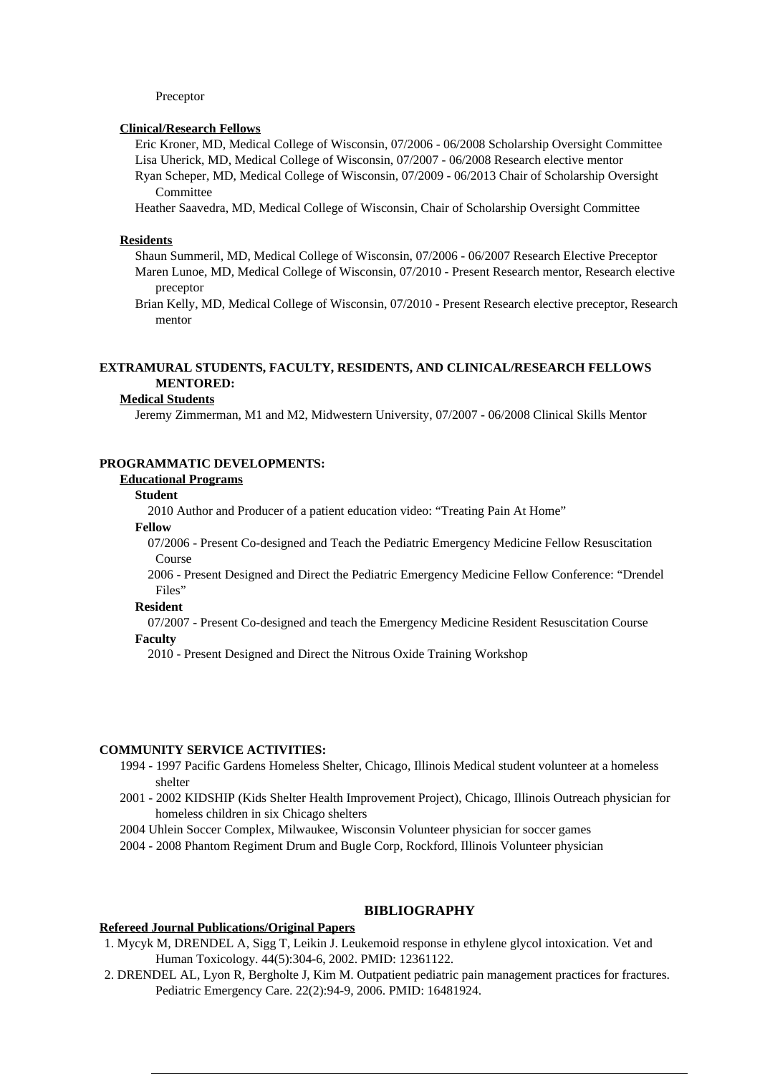#### Preceptor

#### **Clinical/Research Fellows**

Eric Kroner, MD, Medical College of Wisconsin, 07/2006 - 06/2008 Scholarship Oversight Committee Lisa Uherick, MD, Medical College of Wisconsin, 07/2007 - 06/2008 Research elective mentor Ryan Scheper, MD, Medical College of Wisconsin, 07/2009 - 06/2013 Chair of Scholarship Oversight Committee

Heather Saavedra, MD, Medical College of Wisconsin, Chair of Scholarship Oversight Committee

#### **Residents**

Shaun Summeril, MD, Medical College of Wisconsin, 07/2006 - 06/2007 Research Elective Preceptor Maren Lunoe, MD, Medical College of Wisconsin, 07/2010 - Present Research mentor, Research elective preceptor

Brian Kelly, MD, Medical College of Wisconsin, 07/2010 - Present Research elective preceptor, Research mentor

### **EXTRAMURAL STUDENTS, FACULTY, RESIDENTS, AND CLINICAL/RESEARCH FELLOWS MENTORED:**

#### **Medical Students**

Jeremy Zimmerman, M1 and M2, Midwestern University, 07/2007 - 06/2008 Clinical Skills Mentor

### **PROGRAMMATIC DEVELOPMENTS:**

### **Educational Programs**

### **Student**

2010 Author and Producer of a patient education video: "Treating Pain At Home"

#### **Fellow**

07/2006 - Present Co-designed and Teach the Pediatric Emergency Medicine Fellow Resuscitation Course

2006 - Present Designed and Direct the Pediatric Emergency Medicine Fellow Conference: "Drendel Files"

#### **Resident**

07/2007 - Present Co-designed and teach the Emergency Medicine Resident Resuscitation Course **Faculty**

2010 - Present Designed and Direct the Nitrous Oxide Training Workshop

### **COMMUNITY SERVICE ACTIVITIES:**

- 1994 1997 Pacific Gardens Homeless Shelter, Chicago, Illinois Medical student volunteer at a homeless shelter
- 2001 2002 KIDSHIP (Kids Shelter Health Improvement Project), Chicago, Illinois Outreach physician for homeless children in six Chicago shelters
- 2004 Uhlein Soccer Complex, Milwaukee, Wisconsin Volunteer physician for soccer games
- 2004 2008 Phantom Regiment Drum and Bugle Corp, Rockford, Illinois Volunteer physician

### **BIBLIOGRAPHY**

### **Refereed Journal Publications/Original Papers**

- 1. Mycyk M, DRENDEL A, Sigg T, Leikin J. Leukemoid response in ethylene glycol intoxication. Vet and Human Toxicology. 44(5):304-6, 2002. PMID: 12361122.
- 2. DRENDEL AL, Lyon R, Bergholte J, Kim M. Outpatient pediatric pain management practices for fractures. Pediatric Emergency Care. 22(2):94-9, 2006. PMID: 16481924.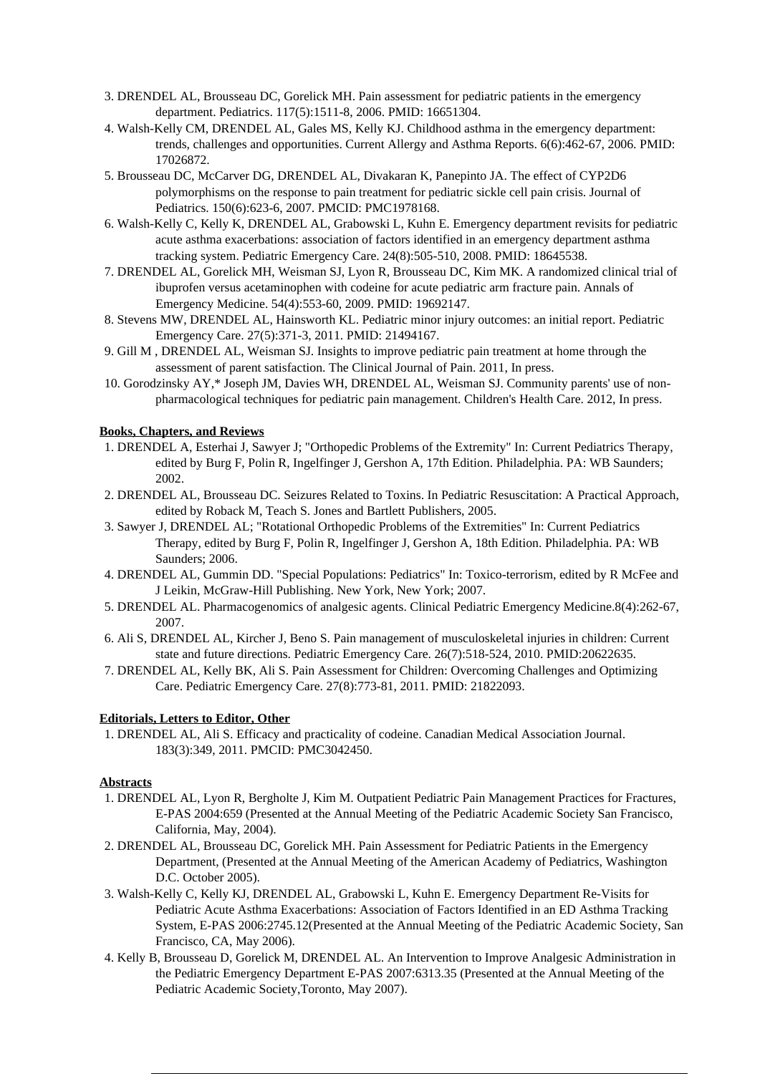- 3. DRENDEL AL, Brousseau DC, Gorelick MH. Pain assessment for pediatric patients in the emergency department. Pediatrics. 117(5):1511-8, 2006. PMID: 16651304.
- 4. Walsh-Kelly CM, DRENDEL AL, Gales MS, Kelly KJ. Childhood asthma in the emergency department: trends, challenges and opportunities. Current Allergy and Asthma Reports. 6(6):462-67, 2006. PMID: 17026872.
- 5. Brousseau DC, McCarver DG, DRENDEL AL, Divakaran K, Panepinto JA. The effect of CYP2D6 polymorphisms on the response to pain treatment for pediatric sickle cell pain crisis. Journal of Pediatrics. 150(6):623-6, 2007. PMCID: PMC1978168.
- 6. Walsh-Kelly C, Kelly K, DRENDEL AL, Grabowski L, Kuhn E. Emergency department revisits for pediatric acute asthma exacerbations: association of factors identified in an emergency department asthma tracking system. Pediatric Emergency Care. 24(8):505-510, 2008. PMID: 18645538.
- 7. DRENDEL AL, Gorelick MH, Weisman SJ, Lyon R, Brousseau DC, Kim MK. A randomized clinical trial of ibuprofen versus acetaminophen with codeine for acute pediatric arm fracture pain. Annals of Emergency Medicine. 54(4):553-60, 2009. PMID: 19692147.
- 8. Stevens MW, DRENDEL AL, Hainsworth KL. Pediatric minor injury outcomes: an initial report. Pediatric Emergency Care. 27(5):371-3, 2011. PMID: 21494167.
- 9. Gill M , DRENDEL AL, Weisman SJ. Insights to improve pediatric pain treatment at home through the assessment of parent satisfaction. The Clinical Journal of Pain. 2011, In press.
- 10. Gorodzinsky AY,\* Joseph JM, Davies WH, DRENDEL AL, Weisman SJ. Community parents' use of nonpharmacological techniques for pediatric pain management. Children's Health Care. 2012, In press.

### **Books, Chapters, and Reviews**

- 1. DRENDEL A, Esterhai J, Sawyer J; "Orthopedic Problems of the Extremity" In: Current Pediatrics Therapy, edited by Burg F, Polin R, Ingelfinger J, Gershon A, 17th Edition. Philadelphia. PA: WB Saunders; 2002.
- 2. DRENDEL AL, Brousseau DC. Seizures Related to Toxins. In Pediatric Resuscitation: A Practical Approach, edited by Roback M, Teach S. Jones and Bartlett Publishers, 2005.
- 3. Sawyer J, DRENDEL AL; "Rotational Orthopedic Problems of the Extremities" In: Current Pediatrics Therapy, edited by Burg F, Polin R, Ingelfinger J, Gershon A, 18th Edition. Philadelphia. PA: WB Saunders; 2006.
- 4. DRENDEL AL, Gummin DD. "Special Populations: Pediatrics" In: Toxico-terrorism, edited by R McFee and J Leikin, McGraw-Hill Publishing. New York, New York; 2007.
- 5. DRENDEL AL. Pharmacogenomics of analgesic agents. Clinical Pediatric Emergency Medicine.8(4):262-67, 2007.
- 6. Ali S, DRENDEL AL, Kircher J, Beno S. Pain management of musculoskeletal injuries in children: Current state and future directions. Pediatric Emergency Care. 26(7):518-524, 2010. PMID:20622635.
- 7. DRENDEL AL, Kelly BK, Ali S. Pain Assessment for Children: Overcoming Challenges and Optimizing Care. Pediatric Emergency Care. 27(8):773-81, 2011. PMID: 21822093.

### **Editorials, Letters to Editor, Other**

1. DRENDEL AL, Ali S. Efficacy and practicality of codeine. Canadian Medical Association Journal. 183(3):349, 2011. PMCID: PMC3042450.

## **Abstracts**

- 1. DRENDEL AL, Lyon R, Bergholte J, Kim M. Outpatient Pediatric Pain Management Practices for Fractures, E-PAS 2004:659 (Presented at the Annual Meeting of the Pediatric Academic Society San Francisco, California, May, 2004).
- 2. DRENDEL AL, Brousseau DC, Gorelick MH. Pain Assessment for Pediatric Patients in the Emergency Department, (Presented at the Annual Meeting of the American Academy of Pediatrics, Washington D.C. October 2005).
- 3. Walsh-Kelly C, Kelly KJ, DRENDEL AL, Grabowski L, Kuhn E. Emergency Department Re-Visits for Pediatric Acute Asthma Exacerbations: Association of Factors Identified in an ED Asthma Tracking System, E-PAS 2006:2745.12(Presented at the Annual Meeting of the Pediatric Academic Society, San Francisco, CA, May 2006).
- 4. Kelly B, Brousseau D, Gorelick M, DRENDEL AL. An Intervention to Improve Analgesic Administration in the Pediatric Emergency Department E-PAS 2007:6313.35 (Presented at the Annual Meeting of the Pediatric Academic Society,Toronto, May 2007).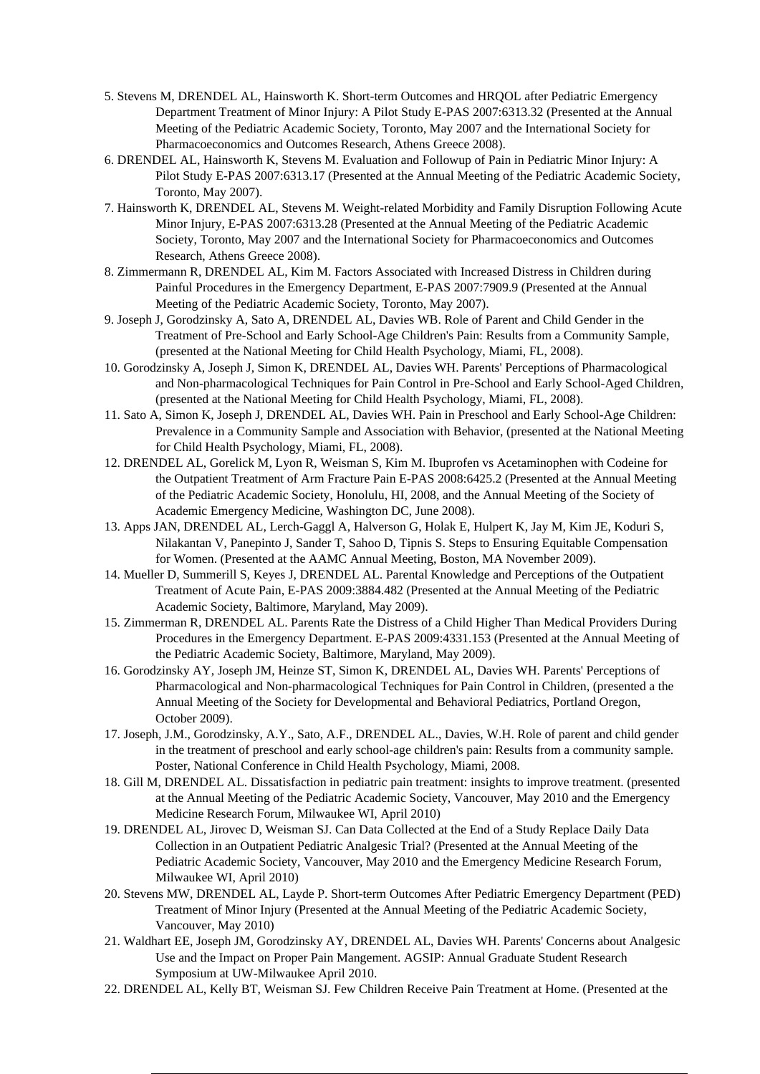- 5. Stevens M, DRENDEL AL, Hainsworth K. Short-term Outcomes and HRQOL after Pediatric Emergency Department Treatment of Minor Injury: A Pilot Study E-PAS 2007:6313.32 (Presented at the Annual Meeting of the Pediatric Academic Society, Toronto, May 2007 and the International Society for Pharmacoeconomics and Outcomes Research, Athens Greece 2008).
- 6. DRENDEL AL, Hainsworth K, Stevens M. Evaluation and Followup of Pain in Pediatric Minor Injury: A Pilot Study E-PAS 2007:6313.17 (Presented at the Annual Meeting of the Pediatric Academic Society, Toronto, May 2007).
- 7. Hainsworth K, DRENDEL AL, Stevens M. Weight-related Morbidity and Family Disruption Following Acute Minor Injury, E-PAS 2007:6313.28 (Presented at the Annual Meeting of the Pediatric Academic Society, Toronto, May 2007 and the International Society for Pharmacoeconomics and Outcomes Research, Athens Greece 2008).
- 8. Zimmermann R, DRENDEL AL, Kim M. Factors Associated with Increased Distress in Children during Painful Procedures in the Emergency Department, E-PAS 2007:7909.9 (Presented at the Annual Meeting of the Pediatric Academic Society, Toronto, May 2007).
- 9. Joseph J, Gorodzinsky A, Sato A, DRENDEL AL, Davies WB. Role of Parent and Child Gender in the Treatment of Pre-School and Early School-Age Children's Pain: Results from a Community Sample, (presented at the National Meeting for Child Health Psychology, Miami, FL, 2008).
- 10. Gorodzinsky A, Joseph J, Simon K, DRENDEL AL, Davies WH. Parents' Perceptions of Pharmacological and Non-pharmacological Techniques for Pain Control in Pre-School and Early School-Aged Children, (presented at the National Meeting for Child Health Psychology, Miami, FL, 2008).
- 11. Sato A, Simon K, Joseph J, DRENDEL AL, Davies WH. Pain in Preschool and Early School-Age Children: Prevalence in a Community Sample and Association with Behavior, (presented at the National Meeting for Child Health Psychology, Miami, FL, 2008).
- 12. DRENDEL AL, Gorelick M, Lyon R, Weisman S, Kim M. Ibuprofen vs Acetaminophen with Codeine for the Outpatient Treatment of Arm Fracture Pain E-PAS 2008:6425.2 (Presented at the Annual Meeting of the Pediatric Academic Society, Honolulu, HI, 2008, and the Annual Meeting of the Society of Academic Emergency Medicine, Washington DC, June 2008).
- 13. Apps JAN, DRENDEL AL, Lerch-Gaggl A, Halverson G, Holak E, Hulpert K, Jay M, Kim JE, Koduri S, Nilakantan V, Panepinto J, Sander T, Sahoo D, Tipnis S. Steps to Ensuring Equitable Compensation for Women. (Presented at the AAMC Annual Meeting, Boston, MA November 2009).
- 14. Mueller D, Summerill S, Keyes J, DRENDEL AL. Parental Knowledge and Perceptions of the Outpatient Treatment of Acute Pain, E-PAS 2009:3884.482 (Presented at the Annual Meeting of the Pediatric Academic Society, Baltimore, Maryland, May 2009).
- 15. Zimmerman R, DRENDEL AL. Parents Rate the Distress of a Child Higher Than Medical Providers During Procedures in the Emergency Department. E-PAS 2009:4331.153 (Presented at the Annual Meeting of the Pediatric Academic Society, Baltimore, Maryland, May 2009).
- 16. Gorodzinsky AY, Joseph JM, Heinze ST, Simon K, DRENDEL AL, Davies WH. Parents' Perceptions of Pharmacological and Non-pharmacological Techniques for Pain Control in Children, (presented a the Annual Meeting of the Society for Developmental and Behavioral Pediatrics, Portland Oregon, October 2009).
- 17. Joseph, J.M., Gorodzinsky, A.Y., Sato, A.F., DRENDEL AL., Davies, W.H. Role of parent and child gender in the treatment of preschool and early school-age children's pain: Results from a community sample. Poster, National Conference in Child Health Psychology, Miami, 2008.
- 18. Gill M, DRENDEL AL. Dissatisfaction in pediatric pain treatment: insights to improve treatment. (presented at the Annual Meeting of the Pediatric Academic Society, Vancouver, May 2010 and the Emergency Medicine Research Forum, Milwaukee WI, April 2010)
- 19. DRENDEL AL, Jirovec D, Weisman SJ. Can Data Collected at the End of a Study Replace Daily Data Collection in an Outpatient Pediatric Analgesic Trial? (Presented at the Annual Meeting of the Pediatric Academic Society, Vancouver, May 2010 and the Emergency Medicine Research Forum, Milwaukee WI, April 2010)
- 20. Stevens MW, DRENDEL AL, Layde P. Short-term Outcomes After Pediatric Emergency Department (PED) Treatment of Minor Injury (Presented at the Annual Meeting of the Pediatric Academic Society, Vancouver, May 2010)
- 21. Waldhart EE, Joseph JM, Gorodzinsky AY, DRENDEL AL, Davies WH. Parents' Concerns about Analgesic Use and the Impact on Proper Pain Mangement. AGSIP: Annual Graduate Student Research Symposium at UW-Milwaukee April 2010.
- 22. DRENDEL AL, Kelly BT, Weisman SJ. Few Children Receive Pain Treatment at Home. (Presented at the